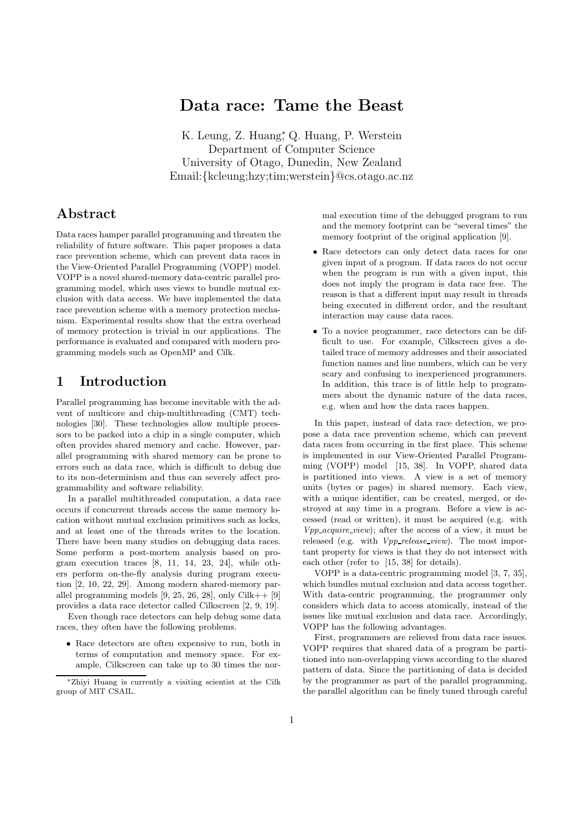# Data race: Tame the Beast

K. Leung, Z. Huang<sup>∗</sup> , Q. Huang, P. Werstein Department of Computer Science University of Otago, Dunedin, New Zealand Email:{kcleung;hzy;tim;werstein}@cs.otago.ac.nz

## Abstract

Data races hamper parallel programming and threaten the reliability of future software. This paper proposes a data race prevention scheme, which can prevent data races in the View-Oriented Parallel Programming (VOPP) model. VOPP is a novel shared-memory data-centric parallel programming model, which uses views to bundle mutual exclusion with data access. We have implemented the data race prevention scheme with a memory protection mechanism. Experimental results show that the extra overhead of memory protection is trivial in our applications. The performance is evaluated and compared with modern programming models such as OpenMP and Cilk.

## 1 Introduction

Parallel programming has become inevitable with the advent of multicore and chip-multithreading (CMT) technologies [30]. These technologies allow multiple processors to be packed into a chip in a single computer, which often provides shared memory and cache. However, parallel programming with shared memory can be prone to errors such as data race, which is difficult to debug due to its non-determinism and thus can severely affect programmability and software reliability.

In a parallel multithreaded computation, a data race occurs if concurrent threads access the same memory location without mutual exclusion primitives such as locks, and at least one of the threads writes to the location. There have been many studies on debugging data races. Some perform a post-mortem analysis based on program execution traces [8, 11, 14, 23, 24], while others perform on-the-fly analysis during program execution [2, 10, 22, 29]. Among modern shared-memory parallel programming models  $[9, 25, 26, 28]$ , only Cilk++  $[9]$ provides a data race detector called Cilkscreen [2, 9, 19].

Even though race detectors can help debug some data races, they often have the following problems.

• Race detectors are often expensive to run, both in terms of computation and memory space. For example, Cilkscreen can take up to 30 times the normal execution time of the debugged program to run and the memory footprint can be "several times" the memory footprint of the original application [9].

- Race detectors can only detect data races for one given input of a program. If data races do not occur when the program is run with a given input, this does not imply the program is data race free. The reason is that a different input may result in threads being executed in different order, and the resultant interaction may cause data races.
- To a novice programmer, race detectors can be difficult to use. For example, Cilkscreen gives a detailed trace of memory addresses and their associated function names and line numbers, which can be very scary and confusing to inexperienced programmers. In addition, this trace is of little help to programmers about the dynamic nature of the data races, e.g. when and how the data races happen.

In this paper, instead of data race detection, we propose a data race prevention scheme, which can prevent data races from occurring in the first place. This scheme is implemented in our View-Oriented Parallel Programming (VOPP) model [15, 38]. In VOPP, shared data is partitioned into views. A view is a set of memory units (bytes or pages) in shared memory. Each view, with a unique identifier, can be created, merged, or destroyed at any time in a program. Before a view is accessed (read or written), it must be acquired (e.g. with  $Vpp\_acquire\_view$ ; after the access of a view, it must be released (e.g. with  $Vpp\_release\_view$ ). The most important property for views is that they do not intersect with each other (refer to [15, 38] for details).

VOPP is a data-centric programming model [3, 7, 35], which bundles mutual exclusion and data access together. With data-centric programming, the programmer only considers which data to access atomically, instead of the issues like mutual exclusion and data race. Accordingly, VOPP has the following advantages.

First, programmers are relieved from data race issues. VOPP requires that shared data of a program be partitioned into non-overlapping views according to the shared pattern of data. Since the partitioning of data is decided by the programmer as part of the parallel programming, the parallel algorithm can be finely tuned through careful

<sup>∗</sup>Zhiyi Huang is currently a visiting scientist at the Cilk group of MIT CSAIL.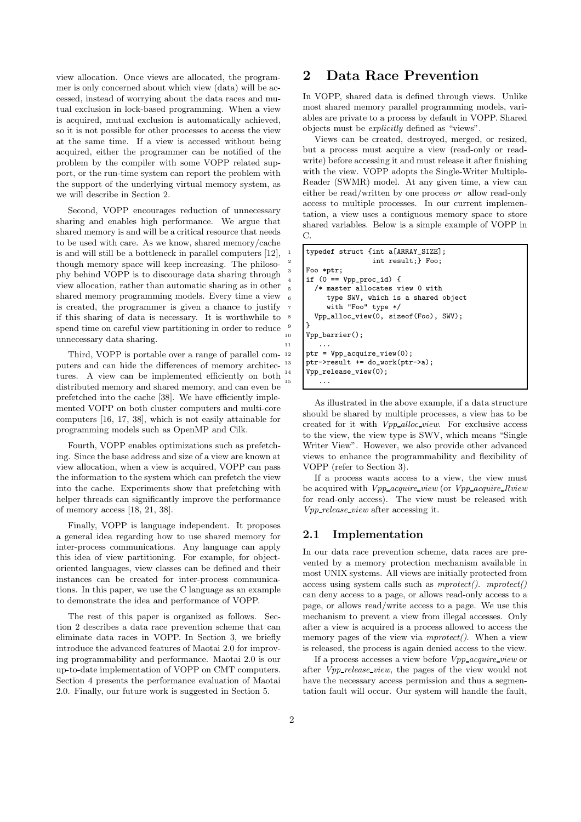view allocation. Once views are allocated, the programmer is only concerned about which view (data) will be accessed, instead of worrying about the data races and mutual exclusion in lock-based programming. When a view is acquired, mutual exclusion is automatically achieved, so it is not possible for other processes to access the view at the same time. If a view is accessed without being acquired, either the programmer can be notified of the problem by the compiler with some VOPP related support, or the run-time system can report the problem with the support of the underlying virtual memory system, as we will describe in Section 2.

Second, VOPP encourages reduction of unnecessary sharing and enables high performance. We argue that shared memory is and will be a critical resource that needs to be used with care. As we know, shared memory/cache is and will still be a bottleneck in parallel computers [12], though memory space will keep increasing. The philosophy behind VOPP is to discourage data sharing through view allocation, rather than automatic sharing as in other shared memory programming models. Every time a view is created, the programmer is given a chance to justify if this sharing of data is necessary. It is worthwhile to spend time on careful view partitioning in order to reduce unnecessary data sharing.

Third, VOPP is portable over a range of parallel computers and can hide the differences of memory architec-  $^{\rm 13}$ tures. A view can be implemented efficiently on both  $\frac{14}{15}$ distributed memory and shared memory, and can even be prefetched into the cache [38]. We have efficiently implemented VOPP on both cluster computers and multi-core computers [16, 17, 38], which is not easily attainable for programming models such as OpenMP and Cilk.

Fourth, VOPP enables optimizations such as prefetching. Since the base address and size of a view are known at view allocation, when a view is acquired, VOPP can pass the information to the system which can prefetch the view into the cache. Experiments show that prefetching with helper threads can significantly improve the performance of memory access [18, 21, 38].

Finally, VOPP is language independent. It proposes a general idea regarding how to use shared memory for inter-process communications. Any language can apply this idea of view partitioning. For example, for objectoriented languages, view classes can be defined and their instances can be created for inter-process communications. In this paper, we use the C language as an example to demonstrate the idea and performance of VOPP.

The rest of this paper is organized as follows. Section 2 describes a data race prevention scheme that can eliminate data races in VOPP. In Section 3, we briefly introduce the advanced features of Maotai 2.0 for improving programmability and performance. Maotai 2.0 is our up-to-date implementation of VOPP on CMT computers. Section 4 presents the performance evaluation of Maotai 2.0. Finally, our future work is suggested in Section 5.

# 2 Data Race Prevention

In VOPP, shared data is defined through views. Unlike most shared memory parallel programming models, variables are private to a process by default in VOPP. Shared objects must be explicitly defined as "views".

Views can be created, destroyed, merged, or resized, but a process must acquire a view (read-only or readwrite) before accessing it and must release it after finishing with the view. VOPP adopts the Single-Writer Multiple-Reader (SWMR) model. At any given time, a view can either be read/written by one process or allow read-only access to multiple processes. In our current implementation, a view uses a contiguous memory space to store shared variables. Below is a simple example of VOPP in  $\mathcal{C}$ 

```
typedef struct {int a[ARRAY_SIZE];
                       int result; } Foo:
     Foo *ptr:
     if (0 == Vpp\_proc_id) {
        /* master allocates view 0 with
           type SWV, which is a shared object
           with "Foo" type */
        Vpp_alloc_view(0, sizeof(Foo), SWV);
     9 }
10 Vpp_barrier();
11 \quad . \quad . \quad .ptr = Vpp_acquire\_view(0);ptr\rightarrow result += do_work(ptr->a);
     Vpp_release_view(0);
         15 ...
```
As illustrated in the above example, if a data structure should be shared by multiple processes, a view has to be created for it with Vpp alloc view. For exclusive access to the view, the view type is SWV, which means "Single Writer View". However, we also provide other advanced views to enhance the programmability and flexibility of VOPP (refer to Section 3).

If a process wants access to a view, the view must be acquired with *Vpp\_acquire\_view* (or *Vpp\_acquire\_Rview* for read-only access). The view must be released with Vpp release view after accessing it.

#### 2.1 Implementation

In our data race prevention scheme, data races are prevented by a memory protection mechanism available in most UNIX systems. All views are initially protected from access using system calls such as  $mprotect$ .  $mprotect$ . can deny access to a page, or allows read-only access to a page, or allows read/write access to a page. We use this mechanism to prevent a view from illegal accesses. Only after a view is acquired is a process allowed to access the memory pages of the view via  $mprotect$ . When a view is released, the process is again denied access to the view.

If a process accesses a view before *Vpp\_acquire\_view* or after Vpp release view, the pages of the view would not have the necessary access permission and thus a segmentation fault will occur. Our system will handle the fault,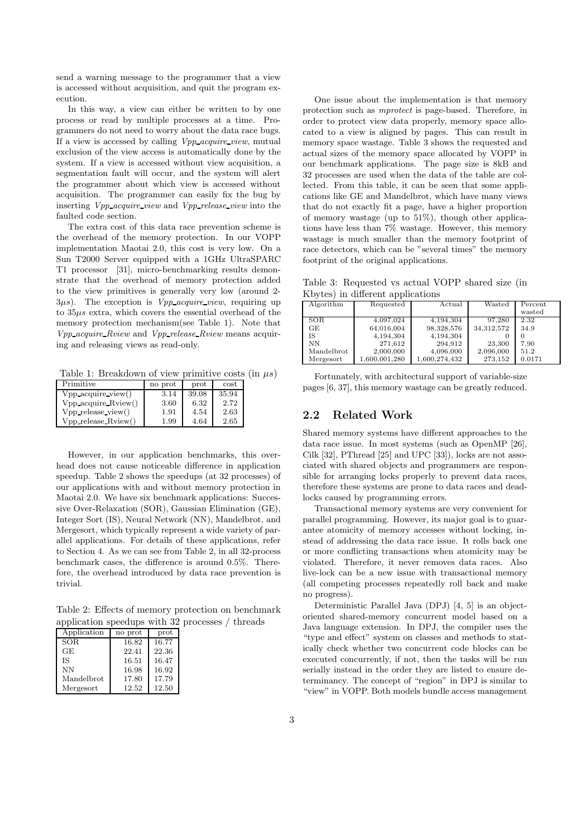send a warning message to the programmer that a view is accessed without acquisition, and quit the program execution.

In this way, a view can either be written to by one process or read by multiple processes at a time. Programmers do not need to worry about the data race bugs. If a view is accessed by calling  $Vpp\_acquire\_view$ , mutual exclusion of the view access is automatically done by the system. If a view is accessed without view acquisition, a segmentation fault will occur, and the system will alert the programmer about which view is accessed without acquisition. The programmer can easily fix the bug by inserting Vpp acquire view and Vpp release view into the faulted code section.

The extra cost of this data race prevention scheme is the overhead of the memory protection. In our VOPP implementation Maotai 2.0, this cost is very low. On a Sun T2000 Server equipped with a 1GHz UltraSPARC T1 processor [31], micro-benchmarking results demonstrate that the overhead of memory protection added to the view primitives is generally very low (around 2-  $3\mu s$ ). The exception is  $Vpp\_\textit{acquire\_\textit{view}}$ , requiring up to 35µs extra, which covers the essential overhead of the memory protection mechanism(see Table 1). Note that Vpp acquire Rview and Vpp release Rview means acquiring and releasing views as read-only.

Table 1: Breakdown of view primitive costs (in  $\mu s$ )

| Primitive            | no prot | prot  | cost  |
|----------------------|---------|-------|-------|
| Vpp_acquire_view()   | 3.14    | 39.08 | 35.94 |
| Vpp acquire Rview()  | 3.60    | 6.32  | 2.72  |
| $Vpp$ release view() | 1.91    | 4.54  | 2.63  |
| Vpp_release_Rview()  | 1.99    | 4.64  | 2.65  |

However, in our application benchmarks, this overhead does not cause noticeable difference in application speedup. Table 2 shows the speedups (at 32 processes) of our applications with and without memory protection in Maotai 2.0. We have six benchmark applications: Successive Over-Relaxation (SOR), Gaussian Elimination (GE), Integer Sort (IS), Neural Network (NN), Mandelbrot, and Mergesort, which typically represent a wide variety of parallel applications. For details of these applications, refer to Section 4. As we can see from Table 2, in all 32-process benchmark cases, the difference is around 0.5%. Therefore, the overhead introduced by data race prevention is trivial.

Table 2: Effects of memory protection on benchmark application speedups with 32 processes / threads

| Application | no prot | prot  |
|-------------|---------|-------|
| SOR.        | 16.82   | 16.77 |
| GE          | 22.41   | 22.36 |
| ΙS          | 16.51   | 16.47 |
| NΝ          | 16.98   | 16.92 |
| Mandelbrot  | 17.80   | 17.79 |
| Mergesort   | 12.52   | 12.50 |
|             |         |       |

One issue about the implementation is that memory protection such as mprotect is page-based. Therefore, in order to protect view data properly, memory space allocated to a view is aligned by pages. This can result in memory space wastage. Table 3 shows the requested and actual sizes of the memory space allocated by VOPP in our benchmark applications. The page size is 8kB and 32 processes are used when the data of the table are collected. From this table, it can be seen that some applications like GE and Mandelbrot, which have many views that do not exactly fit a page, have a higher proportion of memory wastage (up to 51%), though other applications have less than 7% wastage. However, this memory wastage is much smaller than the memory footprint of race detectors, which can be "several times" the memory footprint of the original applications.

Table 3: Requested vs actual VOPP shared size (in Kbytes) in different applications

| Algorithm  | Requested     | Actual        | Wasted     | Percent |
|------------|---------------|---------------|------------|---------|
|            |               |               |            | wasted  |
| <b>SOR</b> | 4,097,024     | 4,194,304     | 97.280     | 2.32    |
| GЕ         | 64,016,004    | 98,328,576    | 34,312,572 | 34.9    |
| IS         | 4,194,304     | 4,194,304     |            |         |
| NN         | 271,612       | 294.912       | 23,300     | 7.90    |
| Mandelbrot | 2,000,000     | 4,096,000     | 2,096,000  | 51.2    |
| Mergesort  | 1,600,001,280 | 1.600.274.432 | 273.152    | 0.0171  |

Fortunately, with architectural support of variable-size pages [6, 37], this memory wastage can be greatly reduced.

### 2.2 Related Work

Shared memory systems have different approaches to the data race issue. In most systems (such as OpenMP [26], Cilk [32], PThread [25] and UPC [33]), locks are not associated with shared objects and programmers are responsible for arranging locks properly to prevent data races, therefore these systems are prone to data races and deadlocks caused by programming errors.

Transactional memory systems are very convenient for parallel programming. However, its major goal is to guarantee atomicity of memory accesses without locking, instead of addressing the data race issue. It rolls back one or more conflicting transactions when atomicity may be violated. Therefore, it never removes data races. Also live-lock can be a new issue with transactional memory (all competing processes repeatedly roll back and make no progress).

Deterministic Parallel Java (DPJ) [4, 5] is an objectoriented shared-memory concurrent model based on a Java language extension. In DPJ, the compiler uses the "type and effect" system on classes and methods to statically check whether two concurrent code blocks can be executed concurrently, if not, then the tasks will be run serially instead in the order they are listed to ensure determinancy. The concept of "region" in DPJ is similar to "view" in VOPP. Both models bundle access management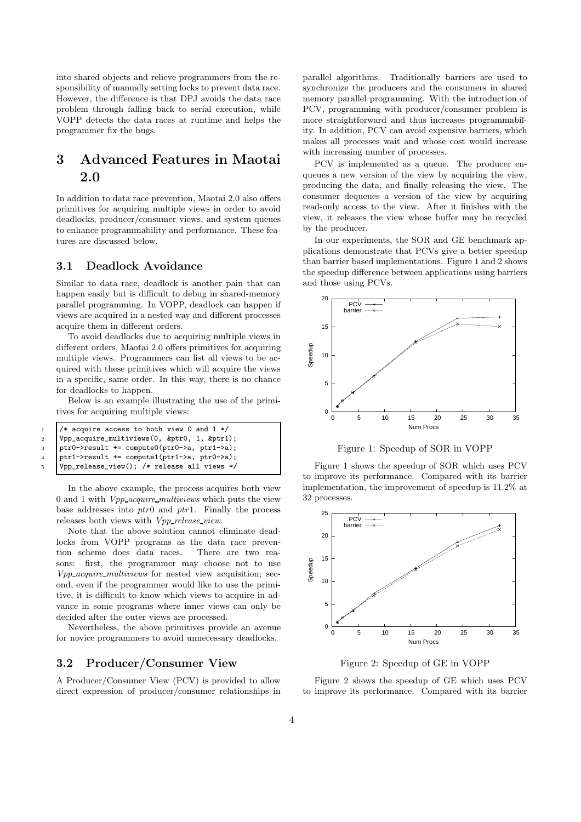into shared objects and relieve programmers from the responsibility of manually setting locks to prevent data race. However, the difference is that DPJ avoids the data race problem through falling back to serial execution, while VOPP detects the data races at runtime and helps the programmer fix the bugs.

# 3 Advanced Features in Maotai 2.0

In addition to data race prevention, Maotai 2.0 also offers primitives for acquiring multiple views in order to avoid deadlocks, producer/consumer views, and system queues to enhance programmability and performance. These features are discussed below.

### 3.1 Deadlock Avoidance

Similar to data race, deadlock is another pain that can happen easily but is difficult to debug in shared-memory parallel programming. In VOPP, deadlock can happen if views are acquired in a nested way and different processes acquire them in different orders.

To avoid deadlocks due to acquiring multiple views in different orders, Maotai 2.0 offers primitives for acquiring multiple views. Programmers can list all views to be acquired with these primitives which will acquire the views in a specific, same order. In this way, there is no chance for deadlocks to happen.

Below is an example illustrating the use of the primitives for acquiring multiple views:

```
/* acquire access to both view 0 and 1 */2 Vpp_acquire_multiviews(0, &ptr0, 1, &ptr1);
3 ptr0->result += compute0(ptr0->a, ptr1->a);
4 ptr1->result += compute1(ptr1->a, ptr0->a);
5 Vpp_release_view(); /* release all views */
```
In the above example, the process acquires both view 0 and 1 with  $Vpp\_acquire\_multiviews$  which puts the view base addresses into  $ptr0$  and  $ptr1$ . Finally the process releases both views with *Vpp\_release\_view*.

Note that the above solution cannot eliminate deadlocks from VOPP programs as the data race prevention scheme does data races. There are two reasons: first, the programmer may choose not to use Vpp acquire multiviews for nested view acquisition; second, even if the programmer would like to use the primitive, it is difficult to know which views to acquire in advance in some programs where inner views can only be decided after the outer views are processed.

Nevertheless, the above primitives provide an avenue for novice programmers to avoid unnecessary deadlocks.

## 3.2 Producer/Consumer View

A Producer/Consumer View (PCV) is provided to allow direct expression of producer/consumer relationships in parallel algorithms. Traditionally barriers are used to synchronize the producers and the consumers in shared memory parallel programming. With the introduction of PCV, programming with producer/consumer problem is more straightforward and thus increases programmability. In addition, PCV can avoid expensive barriers, which makes all processes wait and whose cost would increase with increasing number of processes.

PCV is implemented as a queue. The producer enqueues a new version of the view by acquiring the view, producing the data, and finally releasing the view. The consumer dequeues a version of the view by acquiring read-only access to the view. After it finishes with the view, it releases the view whose buffer may be recycled by the producer.

In our experiments, the SOR and GE benchmark applications demonstrate that PCVs give a better speedup than barrier based implementations. Figure 1 and 2 shows the speedup difference between applications using barriers and those using PCVs.



Figure 1: Speedup of SOR in VOPP

Figure 1 shows the speedup of SOR which uses PCV to improve its performance. Compared with its barrier implementation, the improvement of speedup is 11.2% at 32 processes.



Figure 2: Speedup of GE in VOPP

Figure 2 shows the speedup of GE which uses PCV to improve its performance. Compared with its barrier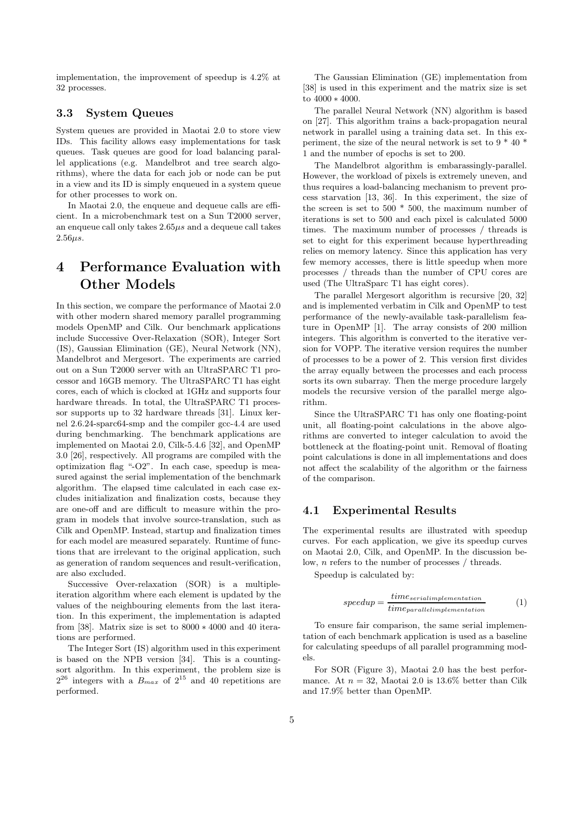implementation, the improvement of speedup is 4.2% at 32 processes.

## 3.3 System Queues

System queues are provided in Maotai 2.0 to store view IDs. This facility allows easy implementations for task queues. Task queues are good for load balancing parallel applications (e.g. Mandelbrot and tree search algorithms), where the data for each job or node can be put in a view and its ID is simply enqueued in a system queue for other processes to work on.

In Maotai 2.0, the enqueue and dequeue calls are efficient. In a microbenchmark test on a Sun T2000 server, an enqueue call only takes  $2.65\mu s$  and a dequeue call takes  $2.56\mu s$ .

# 4 Performance Evaluation with Other Models

In this section, we compare the performance of Maotai 2.0 with other modern shared memory parallel programming models OpenMP and Cilk. Our benchmark applications include Successive Over-Relaxation (SOR), Integer Sort (IS), Gaussian Elimination (GE), Neural Network (NN), Mandelbrot and Mergesort. The experiments are carried out on a Sun T2000 server with an UltraSPARC T1 processor and 16GB memory. The UltraSPARC T1 has eight cores, each of which is clocked at 1GHz and supports four hardware threads. In total, the UltraSPARC T1 processor supports up to 32 hardware threads [31]. Linux kernel 2.6.24-sparc64-smp and the compiler gcc-4.4 are used during benchmarking. The benchmark applications are implemented on Maotai 2.0, Cilk-5.4.6 [32], and OpenMP 3.0 [26], respectively. All programs are compiled with the optimization flag "-O2". In each case, speedup is measured against the serial implementation of the benchmark algorithm. The elapsed time calculated in each case excludes initialization and finalization costs, because they are one-off and are difficult to measure within the program in models that involve source-translation, such as Cilk and OpenMP. Instead, startup and finalization times for each model are measured separately. Runtime of functions that are irrelevant to the original application, such as generation of random sequences and result-verification, are also excluded.

Successive Over-relaxation (SOR) is a multipleiteration algorithm where each element is updated by the values of the neighbouring elements from the last iteration. In this experiment, the implementation is adapted from [38]. Matrix size is set to  $8000 * 4000$  and 40 iterations are performed.

The Integer Sort (IS) algorithm used in this experiment is based on the NPB version [34]. This is a countingsort algorithm. In this experiment, the problem size is  $2^{26}$  integers with a  $B_{max}$  of  $2^{15}$  and 40 repetitions are performed.

The Gaussian Elimination (GE) implementation from [38] is used in this experiment and the matrix size is set to 4000 ∗ 4000.

The parallel Neural Network (NN) algorithm is based on [27]. This algorithm trains a back-propagation neural network in parallel using a training data set. In this experiment, the size of the neural network is set to 9 \* 40 \* 1 and the number of epochs is set to 200.

The Mandelbrot algorithm is embarassingly-parallel. However, the workload of pixels is extremely uneven, and thus requires a load-balancing mechanism to prevent process starvation [13, 36]. In this experiment, the size of the screen is set to 500 \* 500, the maximum number of iterations is set to 500 and each pixel is calculated 5000 times. The maximum number of processes / threads is set to eight for this experiment because hyperthreading relies on memory latency. Since this application has very few memory accesses, there is little speedup when more processes / threads than the number of CPU cores are used (The UltraSparc T1 has eight cores).

The parallel Mergesort algorithm is recursive [20, 32] and is implemented verbatim in Cilk and OpenMP to test performance of the newly-available task-parallelism feature in OpenMP [1]. The array consists of 200 million integers. This algorithm is converted to the iterative version for VOPP. The iterative version requires the number of processes to be a power of 2. This version first divides the array equally between the processes and each process sorts its own subarray. Then the merge procedure largely models the recursive version of the parallel merge algorithm.

Since the UltraSPARC T1 has only one floating-point unit, all floating-point calculations in the above algorithms are converted to integer calculation to avoid the bottleneck at the floating-point unit. Removal of floating point calculations is done in all implementations and does not affect the scalability of the algorithm or the fairness of the comparison.

### 4.1 Experimental Results

The experimental results are illustrated with speedup curves. For each application, we give its speedup curves on Maotai 2.0, Cilk, and OpenMP. In the discussion below, n refers to the number of processes / threads.

Speedup is calculated by:

$$
speedup = \frac{time_{serial implementation}}{time_{parallel implementation}} \tag{1}
$$

To ensure fair comparison, the same serial implementation of each benchmark application is used as a baseline for calculating speedups of all parallel programming models.

For SOR (Figure 3), Maotai 2.0 has the best performance. At  $n = 32$ , Maotai 2.0 is 13.6% better than Cilk and 17.9% better than OpenMP.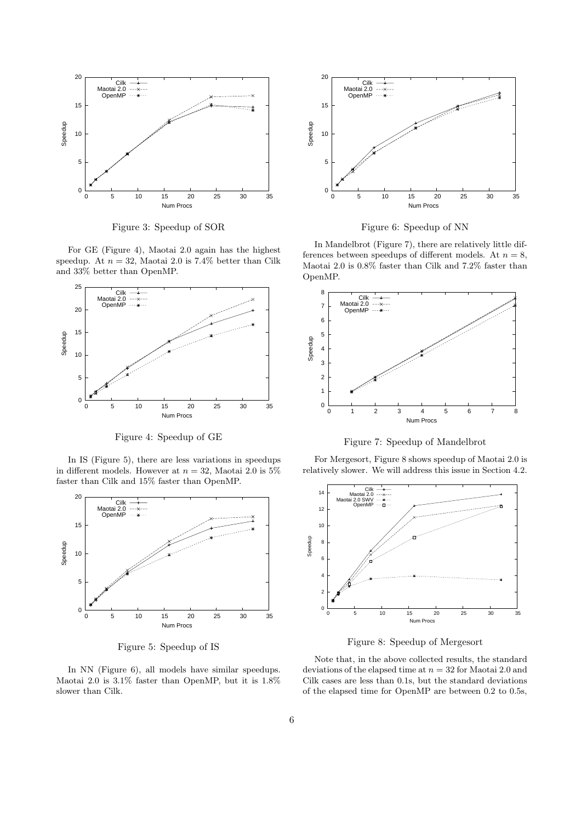

Figure 3: Speedup of SOR

For GE (Figure 4), Maotai 2.0 again has the highest speedup. At  $n = 32$ , Maotai 2.0 is 7.4% better than Cilk and 33% better than OpenMP.



Figure 4: Speedup of GE

In IS (Figure 5), there are less variations in speedups in different models. However at  $n = 32$ , Maotai 2.0 is 5% faster than Cilk and 15% faster than OpenMP.



Figure 5: Speedup of IS

In NN (Figure 6), all models have similar speedups. Maotai 2.0 is 3.1% faster than OpenMP, but it is 1.8% slower than Cilk.



Figure 6: Speedup of NN

In Mandelbrot (Figure 7), there are relatively little differences between speedups of different models. At  $n = 8$ , Maotai 2.0 is 0.8% faster than Cilk and 7.2% faster than OpenMP.



Figure 7: Speedup of Mandelbrot

For Mergesort, Figure 8 shows speedup of Maotai 2.0 is relatively slower. We will address this issue in Section 4.2.



Figure 8: Speedup of Mergesort

Note that, in the above collected results, the standard deviations of the elapsed time at  $n = 32$  for Maotai 2.0 and Cilk cases are less than 0.1s, but the standard deviations of the elapsed time for OpenMP are between 0.2 to 0.5s,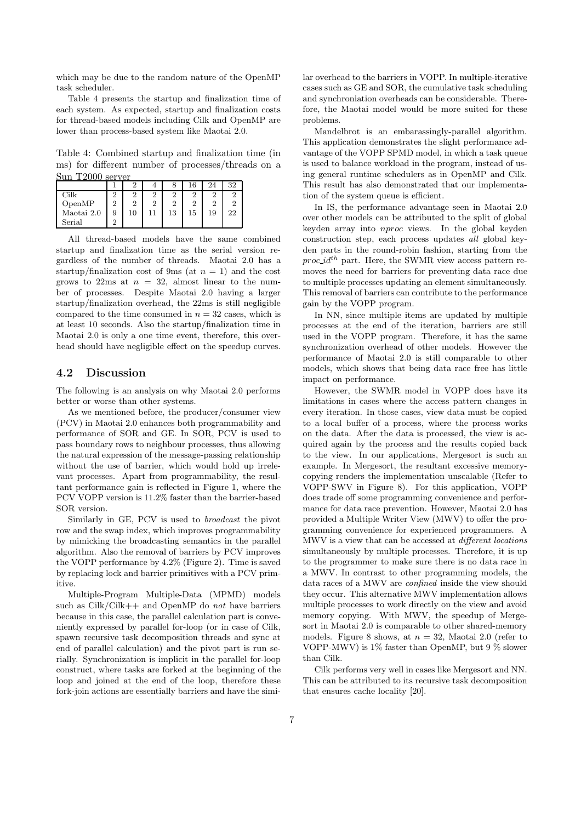which may be due to the random nature of the OpenMP task scheduler.

Table 4 presents the startup and finalization time of each system. As expected, startup and finalization costs for thread-based models including Cilk and OpenMP are lower than process-based system like Maotai 2.0.

Table 4: Combined startup and finalization time (in ms) for different number of processes/threads on a Sun T2000 server

| <u>DUIT I LOUD DUI VUI</u> |   |    |  |    |    |    |    |
|----------------------------|---|----|--|----|----|----|----|
|                            |   |    |  |    |    | 24 | 32 |
| Cilk                       |   |    |  |    |    |    |    |
| OpenMP                     | 2 |    |  |    |    |    |    |
| Maotai 2.0                 | 9 | 10 |  | 13 | 15 | 19 | 22 |
| Serial                     |   |    |  |    |    |    |    |

All thread-based models have the same combined startup and finalization time as the serial version regardless of the number of threads. Maotai 2.0 has a startup/finalization cost of 9ms (at  $n = 1$ ) and the cost grows to 22ms at  $n = 32$ , almost linear to the number of processes. Despite Maotai 2.0 having a larger startup/finalization overhead, the 22ms is still negligible compared to the time consumed in  $n = 32$  cases, which is at least 10 seconds. Also the startup/finalization time in Maotai 2.0 is only a one time event, therefore, this overhead should have negligible effect on the speedup curves.

#### 4.2 Discussion

The following is an analysis on why Maotai 2.0 performs better or worse than other systems.

As we mentioned before, the producer/consumer view (PCV) in Maotai 2.0 enhances both programmability and performance of SOR and GE. In SOR, PCV is used to pass boundary rows to neighbour processes, thus allowing the natural expression of the message-passing relationship without the use of barrier, which would hold up irrelevant processes. Apart from programmability, the resultant performance gain is reflected in Figure 1, where the PCV VOPP version is 11.2% faster than the barrier-based SOR version.

Similarly in GE, PCV is used to broadcast the pivot row and the swap index, which improves programmability by mimicking the broadcasting semantics in the parallel algorithm. Also the removal of barriers by PCV improves the VOPP performance by 4.2% (Figure 2). Time is saved by replacing lock and barrier primitives with a PCV primitive.

Multiple-Program Multiple-Data (MPMD) models such as  $Cilk/Cilk++$  and OpenMP do *not* have barriers because in this case, the parallel calculation part is conveniently expressed by parallel for-loop (or in case of Cilk, spawn recursive task decomposition threads and sync at end of parallel calculation) and the pivot part is run serially. Synchronization is implicit in the parallel for-loop construct, where tasks are forked at the beginning of the loop and joined at the end of the loop, therefore these fork-join actions are essentially barriers and have the similar overhead to the barriers in VOPP. In multiple-iterative cases such as GE and SOR, the cumulative task scheduling and synchroniation overheads can be considerable. Therefore, the Maotai model would be more suited for these problems.

Mandelbrot is an embarassingly-parallel algorithm. This application demonstrates the slight performance advantage of the VOPP SPMD model, in which a task queue is used to balance workload in the program, instead of using general runtime schedulers as in OpenMP and Cilk. This result has also demonstrated that our implementation of the system queue is efficient.

In IS, the performance advantage seen in Maotai 2.0 over other models can be attributed to the split of global keyden array into nproc views. In the global keyden construction step, each process updates all global keyden parts in the round-robin fashion, starting from the proc  $id^{th}$  part. Here, the SWMR view access pattern removes the need for barriers for preventing data race due to multiple processes updating an element simultaneously. This removal of barriers can contribute to the performance gain by the VOPP program.

In NN, since multiple items are updated by multiple processes at the end of the iteration, barriers are still used in the VOPP program. Therefore, it has the same synchronization overhead of other models. However the performance of Maotai 2.0 is still comparable to other models, which shows that being data race free has little impact on performance.

However, the SWMR model in VOPP does have its limitations in cases where the access pattern changes in every iteration. In those cases, view data must be copied to a local buffer of a process, where the process works on the data. After the data is processed, the view is acquired again by the process and the results copied back to the view. In our applications, Mergesort is such an example. In Mergesort, the resultant excessive memorycopying renders the implementation unscalable (Refer to VOPP-SWV in Figure 8). For this application, VOPP does trade off some programming convenience and performance for data race prevention. However, Maotai 2.0 has provided a Multiple Writer View (MWV) to offer the programming convenience for experienced programmers. A MWV is a view that can be accessed at different locations simultaneously by multiple processes. Therefore, it is up to the programmer to make sure there is no data race in a MWV. In contrast to other programming models, the data races of a MWV are confined inside the view should they occur. This alternative MWV implementation allows multiple processes to work directly on the view and avoid memory copying. With MWV, the speedup of Mergesort in Maotai 2.0 is comparable to other shared-memory models. Figure 8 shows, at  $n = 32$ , Maotai 2.0 (refer to VOPP-MWV) is 1% faster than OpenMP, but 9 % slower than Cilk.

Cilk performs very well in cases like Mergesort and NN. This can be attributed to its recursive task decomposition that ensures cache locality [20].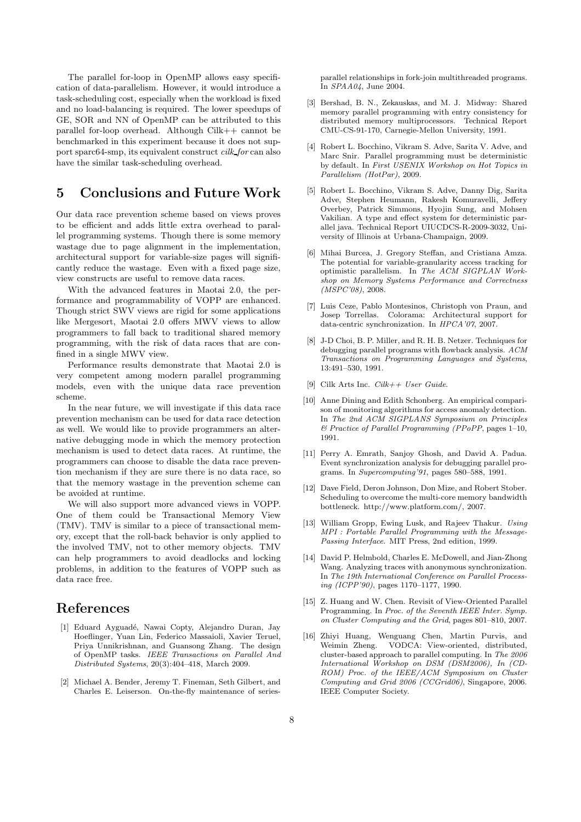The parallel for-loop in OpenMP allows easy specification of data-parallelism. However, it would introduce a task-scheduling cost, especially when the workload is fixed and no load-balancing is required. The lower speedups of GE, SOR and NN of OpenMP can be attributed to this parallel for-loop overhead. Although Cilk++ cannot be benchmarked in this experiment because it does not support sparc64-smp, its equivalent construct cilk for can also have the similar task-scheduling overhead.

# 5 Conclusions and Future Work

Our data race prevention scheme based on views proves to be efficient and adds little extra overhead to parallel programming systems. Though there is some memory wastage due to page alignment in the implementation, architectural support for variable-size pages will significantly reduce the wastage. Even with a fixed page size, view constructs are useful to remove data races.

With the advanced features in Maotai 2.0, the performance and programmability of VOPP are enhanced. Though strict SWV views are rigid for some applications like Mergesort, Maotai 2.0 offers MWV views to allow programmers to fall back to traditional shared memory programming, with the risk of data races that are confined in a single MWV view.

Performance results demonstrate that Maotai 2.0 is very competent among modern parallel programming models, even with the unique data race prevention scheme.

In the near future, we will investigate if this data race prevention mechanism can be used for data race detection as well. We would like to provide programmers an alternative debugging mode in which the memory protection mechanism is used to detect data races. At runtime, the programmers can choose to disable the data race prevention mechanism if they are sure there is no data race, so that the memory wastage in the prevention scheme can be avoided at runtime.

We will also support more advanced views in VOPP. One of them could be Transactional Memory View (TMV). TMV is similar to a piece of transactional memory, except that the roll-back behavior is only applied to the involved TMV, not to other memory objects. TMV can help programmers to avoid deadlocks and locking problems, in addition to the features of VOPP such as data race free.

# References

- [1] Eduard Ayguadé, Nawai Copty, Alejandro Duran, Jay Hoeflinger, Yuan Lin, Federico Massaioli, Xavier Teruel, Priya Unnikrishnan, and Guansong Zhang. The design of OpenMP tasks. IEEE Transactions on Parallel And Distributed Systems, 20(3):404–418, March 2009.
- [2] Michael A. Bender, Jeremy T. Fineman, Seth Gilbert, and Charles E. Leiserson. On-the-fly maintenance of series-

parallel relationships in fork-join multithreaded programs. In SPAA04, June 2004.

- [3] Bershad, B. N., Zekauskas, and M. J. Midway: Shared memory parallel programming with entry consistency for distributed memory multiprocessors. Technical Report CMU-CS-91-170, Carnegie-Mellon University, 1991.
- [4] Robert L. Bocchino, Vikram S. Adve, Sarita V. Adve, and Marc Snir. Parallel programming must be deterministic by default. In First USENIX Workshop on Hot Topics in Parallelism (HotPar), 2009.
- [5] Robert L. Bocchino, Vikram S. Adve, Danny Dig, Sarita Adve, Stephen Heumann, Rakesh Komuravelli, Jeffery Overbey, Patrick Simmons, Hyojin Sung, and Mohsen Vakilian. A type and effect system for deterministic parallel java. Technical Report UIUCDCS-R-2009-3032, University of Illinois at Urbana-Champaign, 2009.
- [6] Mihai Burcea, J. Gregory Steffan, and Cristiana Amza. The potential for variable-granularity access tracking for optimistic parallelism. In The ACM SIGPLAN Workshop on Memory Systems Performance and Correctness (MSPC'08), 2008.
- [7] Luis Ceze, Pablo Montesinos, Christoph von Praun, and Josep Torrellas. Colorama: Architectural support for data-centric synchronization. In HPCA'07, 2007.
- [8] J-D Choi, B. P. Miller, and R. H. B. Netzer. Techniques for debugging parallel programs with flowback analysis. ACM Transactions on Programming Languages and Systems, 13:491–530, 1991.
- [9] Cilk Arts Inc.  $Cilk++ User Guide$ .
- [10] Anne Dining and Edith Schonberg. An empirical comparison of monitoring algorithms for access anomaly detection. In The 2nd ACM SIGPLANS Symposium on Principles & Practice of Parallel Programming (PPoPP, pages 1–10, 1991.
- [11] Perry A. Emrath, Sanjoy Ghosh, and David A. Padua. Event synchronization analysis for debugging parallel programs. In Supercomputing'91, pages 580–588, 1991.
- [12] Dave Field, Deron Johnson, Don Mize, and Robert Stober. Scheduling to overcome the multi-core memory bandwidth bottleneck. http://www.platform.com/, 2007.
- [13] William Gropp, Ewing Lusk, and Rajeev Thakur. Using MPI : Portable Parallel Programming with the Message-Passing Interface. MIT Press, 2nd edition, 1999.
- [14] David P. Helmbold, Charles E. McDowell, and Jian-Zhong Wang. Analyzing traces with anonymous synchronization. In The 19th International Conference on Parallel Processing (ICPP'90), pages 1170–1177, 1990.
- [15] Z. Huang and W. Chen. Revisit of View-Oriented Parallel Programming. In Proc. of the Seventh IEEE Inter. Symp. on Cluster Computing and the Grid, pages 801–810, 2007.
- [16] Zhiyi Huang, Wenguang Chen, Martin Purvis, and Weimin Zheng. VODCA: View-oriented, distributed, cluster-based approach to parallel computing. In The 2006 International Workshop on DSM (DSM2006), In (CD-ROM) Proc. of the IEEE/ACM Symposium on Cluster Computing and Grid 2006 (CCGrid06), Singapore, 2006. IEEE Computer Society.